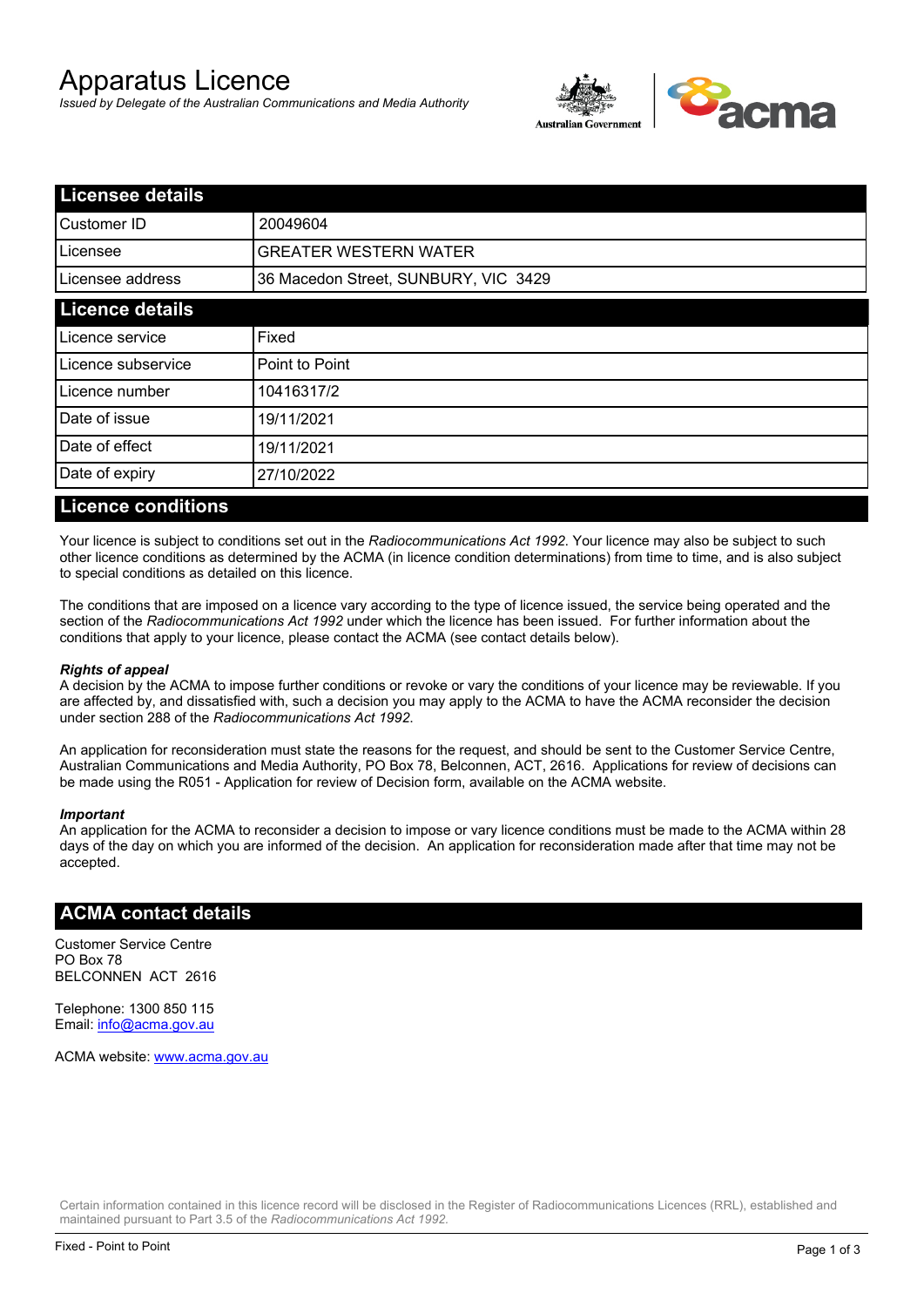# Apparatus Licence

*Issued by Delegate of the Australian Communications and Media Authority*



| <b>Licensee details</b> |                                      |  |
|-------------------------|--------------------------------------|--|
| Customer ID             | 20049604                             |  |
| Licensee                | <b>GREATER WESTERN WATER</b>         |  |
| Licensee address        | 36 Macedon Street, SUNBURY, VIC 3429 |  |
| <b>Licence details</b>  |                                      |  |
| Licence service         | Fixed                                |  |
| Licence subservice      | Point to Point                       |  |
| Licence number          | 10416317/2                           |  |
| Date of issue           | 19/11/2021                           |  |
| Date of effect          | 19/11/2021                           |  |
| Date of expiry          | 27/10/2022                           |  |
|                         |                                      |  |

#### **Licence conditions**

Your licence is subject to conditions set out in the *Radiocommunications Act 1992*. Your licence may also be subject to such other licence conditions as determined by the ACMA (in licence condition determinations) from time to time, and is also subject to special conditions as detailed on this licence.

The conditions that are imposed on a licence vary according to the type of licence issued, the service being operated and the section of the *Radiocommunications Act 1992* under which the licence has been issued. For further information about the conditions that apply to your licence, please contact the ACMA (see contact details below).

#### *Rights of appeal*

A decision by the ACMA to impose further conditions or revoke or vary the conditions of your licence may be reviewable. If you are affected by, and dissatisfied with, such a decision you may apply to the ACMA to have the ACMA reconsider the decision under section 288 of the *Radiocommunications Act 1992*.

An application for reconsideration must state the reasons for the request, and should be sent to the Customer Service Centre, Australian Communications and Media Authority, PO Box 78, Belconnen, ACT, 2616. Applications for review of decisions can be made using the R051 - Application for review of Decision form, available on the ACMA website.

#### *Important*

An application for the ACMA to reconsider a decision to impose or vary licence conditions must be made to the ACMA within 28 days of the day on which you are informed of the decision. An application for reconsideration made after that time may not be accepted.

#### **ACMA contact details**

Customer Service Centre PO Box 78 BELCONNEN ACT 2616

Telephone: 1300 850 115 Email: info@acma.gov.au

ACMA website: www.acma.gov.au

Certain information contained in this licence record will be disclosed in the Register of Radiocommunications Licences (RRL), established and maintained pursuant to Part 3.5 of the *Radiocommunications Act 1992.*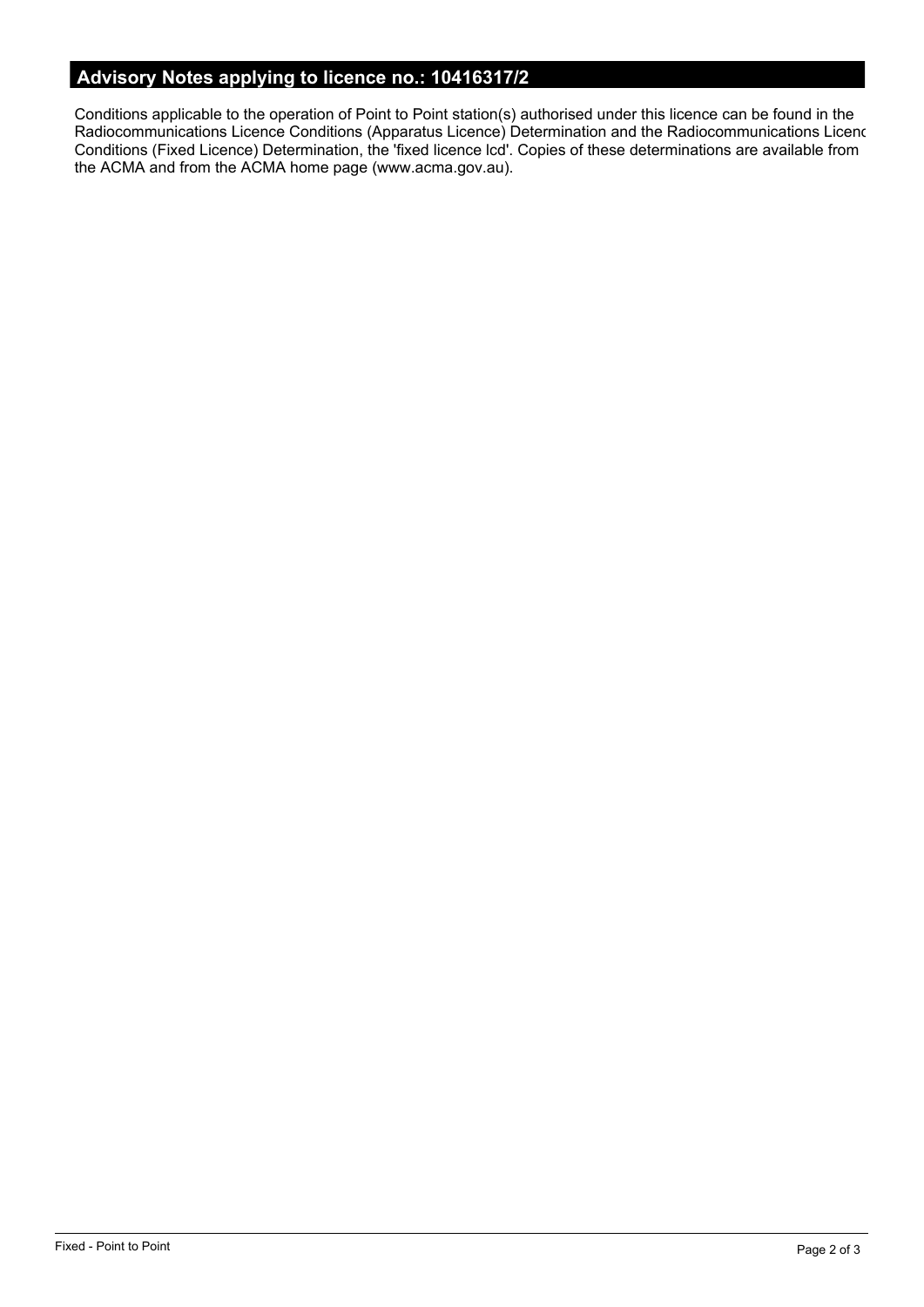# **Advisory Notes applying to licence no.: 10416317/2**

Conditions applicable to the operation of Point to Point station(s) authorised under this licence can be found in the Radiocommunications Licence Conditions (Apparatus Licence) Determination and the Radiocommunications Licence Conditions (Fixed Licence) Determination, the 'fixed licence lcd'. Copies of these determinations are available from the ACMA and from the ACMA home page (www.acma.gov.au).